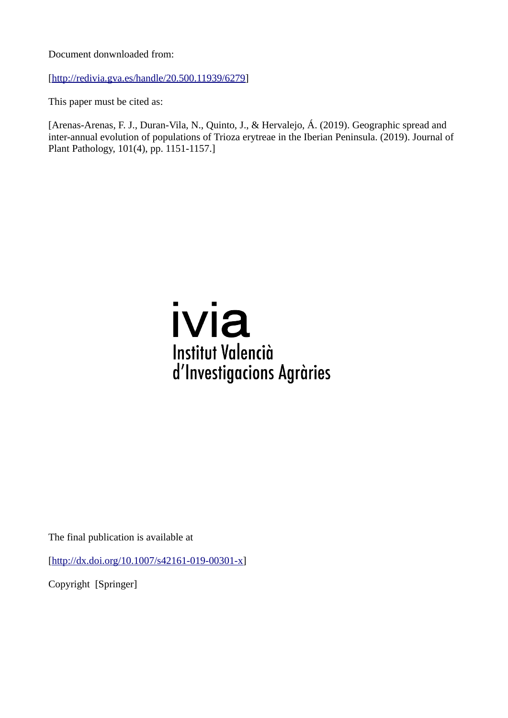Document donwnloaded from:

[[http://redivia.gva.es/handle/20.500.11939/6279\]](http://redivia.gva.es/handle/20.500.11939/6279)

This paper must be cited as:

[Arenas-Arenas, F. J., Duran-Vila, N., Quinto, J., & Hervalejo, Á. (2019). Geographic spread and inter-annual evolution of populations of Trioza erytreae in the Iberian Peninsula. (2019). Journal of Plant Pathology, 101(4), pp. 1151-1157.]

# ivia **Institut Valencià** d'Investigacions Agràries

The final publication is available at

[[http://dx.doi.org/10.1007/s42161-019-00301-x\]](http://dx.doi.org/10.1007/s42161-019-00301-x)

Copyright [Springer]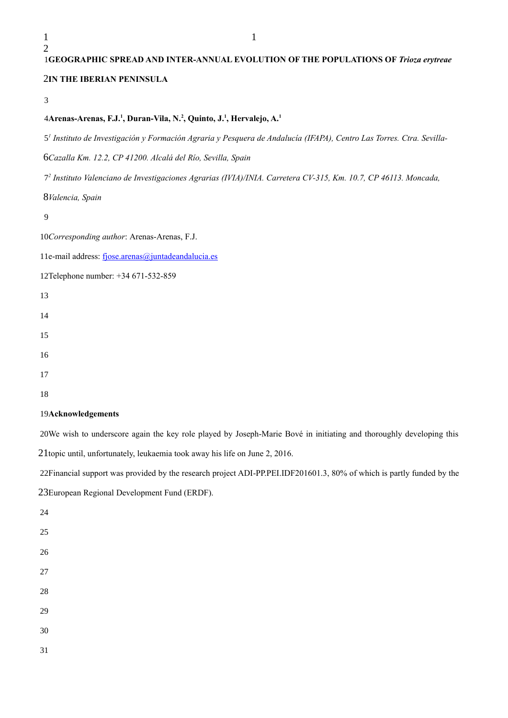## **GEOGRAPHIC SPREAD AND INTER-ANNUAL EVOLUTION OF THE POPULATIONS OF** *Trioza erytreae* **IN THE IBERIAN PENINSULA**

### **Arenas-Arenas, F.J.<sup>1</sup> , Duran-Vila, N.<sup>2</sup> , Quinto, J.<sup>1</sup> , Hervalejo, A.<sup>1</sup>**

*1 Instituto de Investigación y Formación Agraria y Pesquera de Andalucía (IFAPA), Centro Las Torres. Ctra. Sevilla-*

*Cazalla Km. 12.2, CP 41200. Alcalá del Río, Sevilla, Spain*

*2 Instituto Valenciano de Investigaciones Agrarias (IVIA)/INIA. Carretera CV-315, Km. 10.7, CP 46113. Moncada,* 

*Valencia, Spain*

*Corresponding author*: Arenas-Arenas, F.J.

11e-mail address: [fjose.arenas@juntadeandalucia.es](mailto:fjose.arenas@juntadeandalucia.es)

12Telephone number: +34 671-532-859

 

#### **Acknowledgements**

20We wish to underscore again the key role played by Joseph-Marie Bové in initiating and thoroughly developing this 21topic until, unfortunately, leukaemia took away his life on June 2, 2016.

22Financial support was provided by the research project ADI-PP.PEI.IDF201601.3, 80% of which is partly funded by the 23European Regional Development Fund (ERDF).

- 
- 
- 
- 
- 
- 
-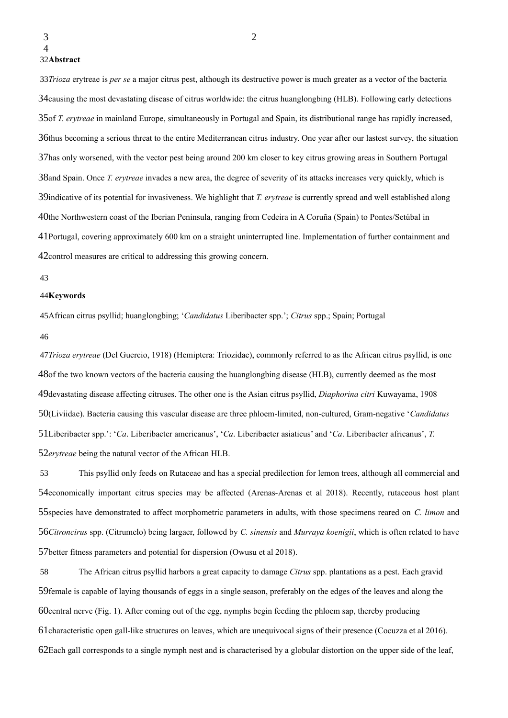*Trioza* erytreae is *per se* a major citrus pest, although its destructive power is much greater as a vector of the bacteria 33 34 causing the most devastating disease of citrus worldwide: the citrus huanglongbing (HLB). Following early detections 35 of *T. erytreae* in mainland Europe, simultaneously in Portugal and Spain, its distributional range has rapidly increased, 36thus becoming a serious threat to the entire Mediterranean citrus industry. One year after our lastest survey, the situation 37has only worsened, with the vector pest being around 200 km closer to key citrus growing areas in Southern Portugal 38 and Spain. Once *T. erytreae* invades a new area, the degree of severity of its attacks increases very quickly, which is 39indicative of its potential for invasiveness. We highlight that *T. erytreae* is currently spread and well established along 40the Northwestern coast of the Iberian Peninsula, ranging from Cedeira in A Coruña (Spain) to Pontes/Setúbal in 41Portugal, covering approximately 600 km on a straight uninterrupted line. Implementation of further containment and 42 control measures are critical to addressing this growing concern.

#### 43

#### 44Keywords

African citrus psyllid; huanglongbing; '*Candidatus* Liberibacter spp.'; *Citrus* spp.; Spain; Portugal 45

#### 46

*Trioza erytreae* (Del Guercio, 1918) (Hemiptera: Triozidae), commonly referred to as the African citrus psyllid, is one 47 48of the two known vectors of the bacteria causing the huanglongbing disease (HLB), currently deemed as the most 49devastating disease affecting citruses. The other one is the Asian citrus psyllid, *Diaphorina citri* Kuwayama, 1908 50(Liviidae). Bacteria causing this vascular disease are three phloem-limited, non-cultured, Gram-negative 'Candidatus 51Liberibacter spp.': '*Ca*. Liberibacter americanus', '*Ca*. Liberibacter asiaticus' and '*Ca*. Liberibacter africanus', *T*. 52 erytreae being the natural vector of the African HLB.

This psyllid only feeds on Rutaceae and has a special predilection for lemon trees, although all commercial and 54economically important citrus species may be affected (Arenas-Arenas et al 2018). Recently, rutaceous host plant 55 species have demonstrated to affect morphometric parameters in adults, with those specimens reared on *C. limon* and *Citroncirus* spp. (Citrumelo) being largaer, followed by *C. sinensis* and *Murraya koenigii*, which is often related to have 56 57better fitness parameters and potential for dispersion (Owusu et al 2018). 53

The African citrus psyllid harbors a great capacity to damage *Citrus* spp. plantations as a pest. Each gravid 59 female is capable of laying thousands of eggs in a single season, preferably on the edges of the leaves and along the 60central nerve (Fig. 1). After coming out of the egg, nymphs begin feeding the phloem sap, thereby producing 61 characteristic open gall-like structures on leaves, which are unequivocal signs of their presence (Cocuzza et al 2016). 62Each gall corresponds to a single nymph nest and is characterised by a globular distortion on the upper side of the leaf, 58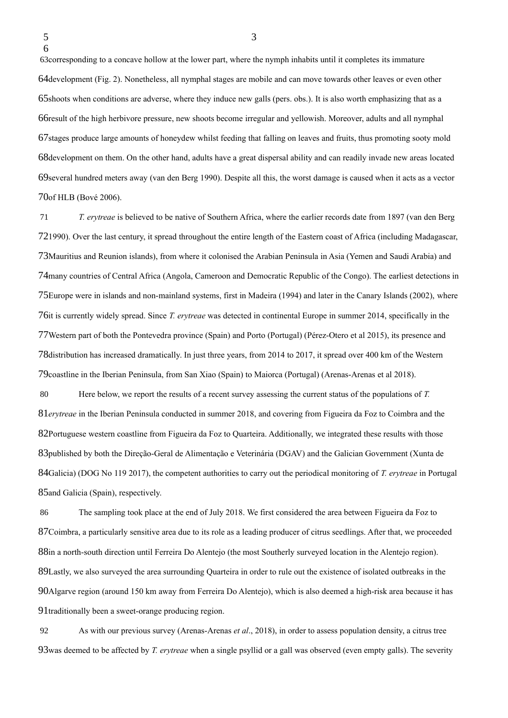63 corresponding to a concave hollow at the lower part, where the nymph inhabits until it completes its immature 64development (Fig. 2). Nonetheless, all nymphal stages are mobile and can move towards other leaves or even other 65 shoots when conditions are adverse, where they induce new galls (pers. obs.). It is also worth emphasizing that as a 66result of the high herbivore pressure, new shoots become irregular and yellowish. Moreover, adults and all nymphal 67 stages produce large amounts of honeydew whilst feeding that falling on leaves and fruits, thus promoting sooty mold 68development on them. On the other hand, adults have a great dispersal ability and can readily invade new areas located 69 several hundred meters away (van den Berg 1990). Despite all this, the worst damage is caused when it acts as a vector 70of HLB (Bové 2006).

*T. erytreae* is believed to be native of Southern Africa, where the earlier records date from 1897 (van den Berg 721990). Over the last century, it spread throughout the entire length of the Eastern coast of Africa (including Madagascar, 73 Mauritius and Reunion islands), from where it colonised the Arabian Peninsula in Asia (Yemen and Saudi Arabia) and 74many countries of Central Africa (Angola, Cameroon and Democratic Republic of the Congo). The earliest detections in 75Europe were in islands and non-mainland systems, first in Madeira (1994) and later in the Canary Islands (2002), where 76it is currently widely spread. Since *T. erytreae* was detected in continental Europe in summer 2014, specifically in the Western part of both the Pontevedra province (Spain) and Porto (Portugal) (Pérez-Otero et al 2015), its presence and 77 78 distribution has increased dramatically. In just three years, from 2014 to 2017, it spread over 400 km of the Western 79 coastline in the Iberian Peninsula, from San Xiao (Spain) to Maiorca (Portugal) (Arenas-Arenas et al 2018). 71

Here below, we report the results of a recent survey assessing the current status of the populations of *T.*  81erytreae in the Iberian Peninsula conducted in summer 2018, and covering from Figueira da Foz to Coimbra and the 82Portuguese western coastline from Figueira da Foz to Quarteira. Additionally, we integrated these results with those 83 published by both the Direção-Geral de Alimentação e Veterinária (DGAV) and the Galician Government (Xunta de 84Galicia) (DOG No 119 2017), the competent authorities to carry out the periodical monitoring of *T. erytreae* in Portugal 85 and Galicia (Spain), respectively. 80

The sampling took place at the end of July 2018. We first considered the area between Figueira da Foz to 87Coimbra, a particularly sensitive area due to its role as a leading producer of citrus seedlings. After that, we proceeded 88in a north-south direction until Ferreira Do Alentejo (the most Southerly surveyed location in the Alentejo region). 89Lastly, we also surveyed the area surrounding Quarteira in order to rule out the existence of isolated outbreaks in the 90 Algarve region (around 150 km away from Ferreira Do Alentejo), which is also deemed a high-risk area because it has 91traditionally been a sweet-orange producing region. 86

As with our previous survey (Arenas-Arenas *et al*., 2018), in order to assess population density, a citrus tree 93was deemed to be affected by *T. erytreae* when a single psyllid or a gall was observed (even empty galls). The severity 92

<sup>5</sup> 6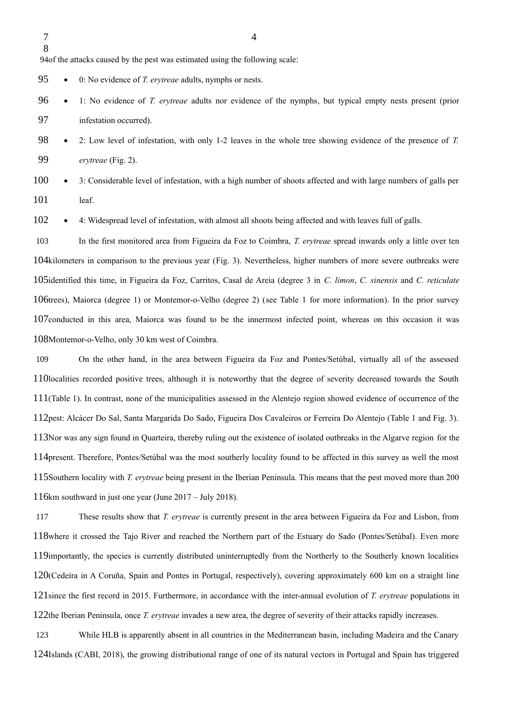7 8

94of the attacks caused by the pest was estimated using the following scale:

 0: No evidence of *T. erytreae* adults, nymphs or nests. 95

- 1: No evidence of *T. erytreae* adults nor evidence of the nymphs, but typical empty nests present (prior infestation occurred). 96 97
- 2: Low level of infestation, with only 1-2 leaves in the whole tree showing evidence of the presence of *T. erytreae* (Fig. 2). 98 99

 3: Considerable level of infestation, with a high number of shoots affected and with large numbers of galls per leaf. 100 101

 4: Widespread level of infestation, with almost all shoots being affected and with leaves full of galls. 102

In the first monitored area from Figueira da Foz to Coimbra, *T. erytreae* spread inwards only a little over ten 104kilometers in comparison to the previous year (Fig. 3). Nevertheless, higher numbers of more severe outbreaks were 105identified this time, in Figueira da Foz, Carritos, Casal de Areia (degree 3 in *C. limon*, *C. sinensis* and *C. reticulate* 106trees), Maiorca (degree 1) or Montemor-o-Velho (degree 2) (see Table 1 for more information). In the prior survey 107conducted in this area, Maiorca was found to be the innermost infected point, whereas on this occasion it was 108Montemor-o-Velho, only 30 km west of Coimbra. 103

On the other hand, in the area between Figueira da Foz and Pontes/Setúbal, virtually all of the assessed 110localities recorded positive trees, although it is noteworthy that the degree of severity decreased towards the South 111(Table 1). In contrast, none of the municipalities assessed in the Alentejo region showed evidence of occurrence of the 112 pest: Alcácer Do Sal, Santa Margarida Do Sado, Figueira Dos Cavaleiros or Ferreira Do Alentejo (Table 1 and Fig. 3). 113Nor was any sign found in Quarteira, thereby ruling out the existence of isolated outbreaks in the Algarve region for the 114 present. Therefore, Pontes/Setúbal was the most southerly locality found to be affected in this survey as well the most 115 Southern locality with *T. erytreae* being present in the Iberian Peninsula. This means that the pest moved more than 200 116km southward in just one year (June  $2017 -$  July 2018). 109

These results show that *T. erytreae* is currently present in the area between Figueira da Foz and Lisbon, from 118where it crossed the Tajo River and reached the Northern part of the Estuary do Sado (Pontes/Setúbal). Even more 119 importantly, the species is currently distributed uninterruptedly from the Northerly to the Southerly known localities 120(Cedeira in A Coruña, Spain and Pontes in Portugal, respectively), covering approximately 600 km on a straight line 121 since the first record in 2015. Furthermore, in accordance with the inter-annual evolution of *T. erytreae* populations in 122the Iberian Peninsula, once *T. erytreae* invades a new area, the degree of severity of their attacks rapidly increases. 117

While HLB is apparently absent in all countries in the Mediterranean basin, including Madeira and the Canary 124Islands (CABI, 2018), the growing distributional range of one of its natural vectors in Portugal and Spain has triggered 123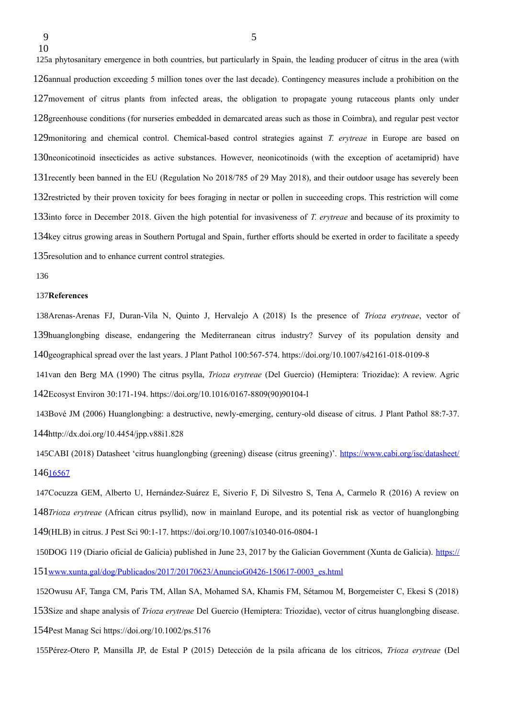125a phytosanitary emergence in both countries, but particularly in Spain, the leading producer of citrus in the area (with 126annual production exceeding 5 million tones over the last decade). Contingency measures include a prohibition on the 127 movement of citrus plants from infected areas, the obligation to propagate young rutaceous plants only under 128 greenhouse conditions (for nurseries embedded in demarcated areas such as those in Coimbra), and regular pest vector 129 monitoring and chemical control. Chemical-based control strategies against *T. erytreae* in Europe are based on 130neonicotinoid insecticides as active substances. However, neonicotinoids (with the exception of acetamiprid) have 131 recently been banned in the EU (Regulation No 2018/785 of 29 May 2018), and their outdoor usage has severely been 132 restricted by their proven toxicity for bees foraging in nectar or pollen in succeeding crops. This restriction will come 133into force in December 2018. Given the high potential for invasiveness of *T. erytreae* and because of its proximity to 134key citrus growing areas in Southern Portugal and Spain, further efforts should be exerted in order to facilitate a speedy 135 resolution and to enhance current control strategies.

136

#### 137References

138Arenas-Arenas FJ, Duran-Vila N, Quinto J, Hervalejo A (2018) Is the presence of *Trioza erytreae*, vector of 139huanglongbing disease, endangering the Mediterranean citrus industry? Survey of its population density and geographical spread over the last years. J Plant Pathol 100:567-574. https://doi.org/10.1007/s42161-018-0109-8 140

141van den Berg MA (1990) The citrus psylla, *Trioza erytreae* (Del Guercio) (Hemiptera: Triozidae): A review. Agric Ecosyst Environ 30:171-194. https://doi.org/10.1016/0167-8809(90)90104-l 142

143Bové JM (2006) Huanglongbing: a destructive, newly-emerging, century-old disease of citrus. J Plant Pathol 88:7-37. 144http://dx.doi.org/10.4454/jpp.v88i1.828

145CABI (2018) Datasheet 'citrus huanglongbing (greening) disease (citrus greening)'. [https://www.cabi.org/isc/datasheet/](https://www.cabi.org/isc/datasheet/16567) 146[16567](https://www.cabi.org/isc/datasheet/16567)

147Cocuzza GEM, Alberto U, Hernández-Suárez E, Siverio F, Di Silvestro S, Tena A, Carmelo R (2016) A review on 148Trioza erytreae (African citrus psyllid), now in mainland Europe, and its potential risk as vector of huanglongbing (HLB) in citrus. J Pest Sci 90:1-17. https://doi.org/10.1007/s10340-016-0804-1 149

150DOG 119 (Diario oficial de Galicia) published in June 23, 2017 by the Galician Government (Xunta de Galicia). [https://](https://www.xunta.gal/dog/Publicados/2017/20170623/AnuncioG0426-150617-0003_es.html) 151[www.xunta.gal/dog/Publicados/2017/20170623/AnuncioG0426-150617-0003\\_es.html](https://www.xunta.gal/dog/Publicados/2017/20170623/AnuncioG0426-150617-0003_es.html)

152Owusu AF, Tanga CM, Paris TM, Allan SA, Mohamed SA, Khamis FM, Sétamou M, Borgemeister C, Ekesi S (2018)

153Size and shape analysis of *Trioza erytreae* Del Guercio (Hemiptera: Triozidae), vector of citrus huanglongbing disease.

154Pest Manag Sci https://doi.org/10.1002/ps.5176

Pérez-Otero P, Mansilla JP, de Estal P (2015) Detección de la psila africana de los cítricos, *Trioza erytreae* (Del 155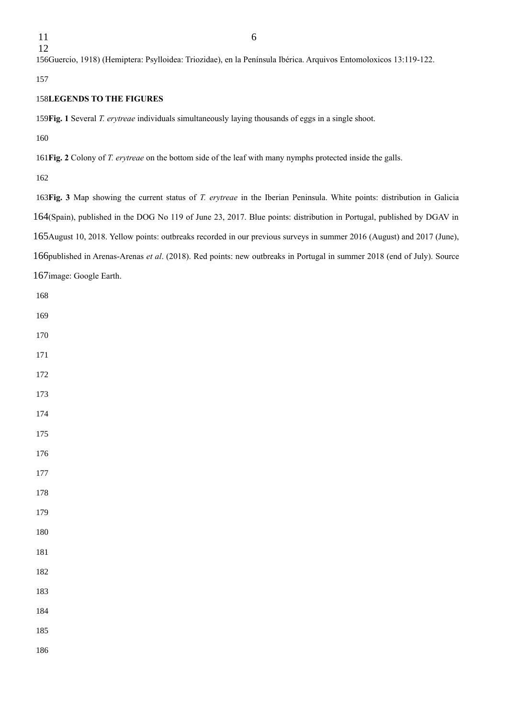156Guercio, 1918) (Hemiptera: Psylloidea: Triozidae), en la Península Ibérica. Arquivos Entomoloxicos 13:119-122.

#### **LEGENDS TO THE FIGURES**

159 Fig. 1 Several *T. erytreae* individuals simultaneously laying thousands of eggs in a single shoot.

**Fig. 2** Colony of *T. erytreae* on the bottom side of the leaf with many nymphs protected inside the galls.

**Fig. 3** Map showing the current status of *T. erytreae* in the Iberian Peninsula. White points: distribution in Galicia 164(Spain), published in the DOG No 119 of June 23, 2017. Blue points: distribution in Portugal, published by DGAV in 165 August 10, 2018. Yellow points: outbreaks recorded in our previous surveys in summer 2016 (August) and 2017 (June), 166 published in Arenas-Arenas et al. (2018). Red points: new outbreaks in Portugal in summer 2018 (end of July). Source 167image: Google Earth.

- 
- 
- 
- 
- 

- 
- 
- 
- 
- 
- 
-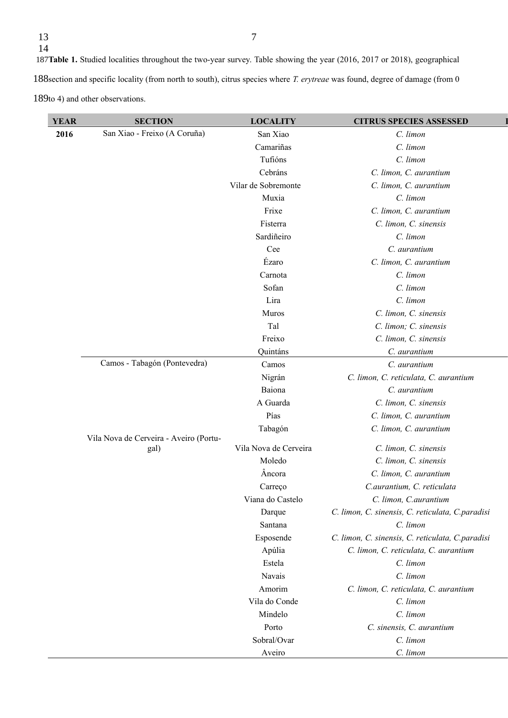13

189to 4) and other observations.

| <b>YEAR</b> | <b>SECTION</b>                                                                 | <b>LOCALITY</b>       | <b>CITRUS SPECIES ASSESSED</b>                   |
|-------------|--------------------------------------------------------------------------------|-----------------------|--------------------------------------------------|
| 2016        | San Xiao - Freixo (A Coruña)                                                   | San Xiao              | C. limon                                         |
|             |                                                                                | Camariñas             | C. limon                                         |
|             |                                                                                | Tufións               | C. limon                                         |
|             |                                                                                | Cebráns               | C. limon, C. aurantium                           |
|             |                                                                                | Vilar de Sobremonte   | C. limon, C. aurantium                           |
|             |                                                                                | Muxia                 | C. limon                                         |
|             |                                                                                | Frixe                 | C. limon, C. aurantium                           |
|             |                                                                                | Fisterra              | C. limon, C. sinensis                            |
|             |                                                                                | Sardiñeiro            | C. limon                                         |
|             |                                                                                | Cee                   | C. aurantium                                     |
|             |                                                                                | Ézaro                 | C. limon, C. aurantium                           |
|             |                                                                                | Carnota               | C. limon                                         |
|             |                                                                                | Sofan                 | C. limon                                         |
|             |                                                                                | Lira                  | C. limon                                         |
|             |                                                                                | Muros                 | C. limon, C. sinensis                            |
|             |                                                                                | Tal                   | C. limon; C. sinensis                            |
|             |                                                                                | Freixo                | C. limon, C. sinensis                            |
|             |                                                                                | Quintáns              | C. aurantium                                     |
|             | Camos - Tabagón (Pontevedra)<br>Vila Nova de Cerveira - Aveiro (Portu-<br>gal) | Camos                 | C. aurantium                                     |
|             |                                                                                | Nigrán                | C. limon, C. reticulata, C. aurantium            |
|             |                                                                                | Baiona                | C. aurantium                                     |
|             |                                                                                | A Guarda              | C. limon, C. sinensis                            |
|             |                                                                                | Pías                  | C. limon, C. aurantium                           |
|             |                                                                                | Tabagón               | C. limon, C. aurantium                           |
|             |                                                                                | Vila Nova de Cerveira | C. limon, C. sinensis                            |
|             |                                                                                | Moledo                | C. limon, C. sinensis                            |
|             |                                                                                | Âncora                | C. limon, C. aurantium                           |
|             |                                                                                | Carreço               | C.aurantium, C. reticulata                       |
|             |                                                                                | Viana do Castelo      | C. limon, C. aurantium                           |
|             |                                                                                | Darque                | C. limon, C. sinensis, C. reticulata, C.paradisi |
|             |                                                                                | Santana               | C. limon                                         |
|             |                                                                                | Esposende             | C. limon, C. sinensis, C. reticulata, C.paradisi |
|             |                                                                                | Apúlia                | C. limon, C. reticulata, C. aurantium            |
|             |                                                                                | Estela                | C. limon                                         |
|             |                                                                                | Navais                | C. limon                                         |
|             |                                                                                | Amorim                | C. limon, C. reticulata, C. aurantium            |
|             |                                                                                | Vila do Conde         | C. limon                                         |
|             |                                                                                | Mindelo               | C. limon                                         |
|             |                                                                                | Porto                 | C. sinensis, C. aurantium                        |
|             |                                                                                | Sobral/Ovar           | C. limon                                         |
|             |                                                                                | Aveiro                | C. limon                                         |
|             |                                                                                |                       |                                                  |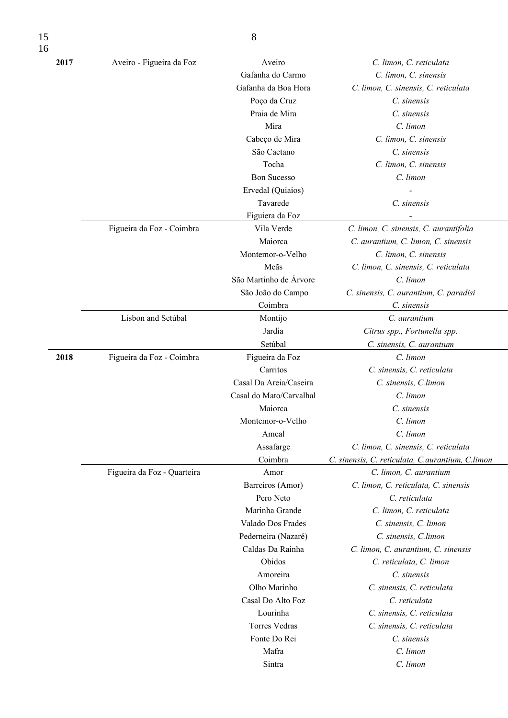| 2017 | Aveiro - Figueira da Foz    | Aveiro                  | C. limon, C. reticulata                            |
|------|-----------------------------|-------------------------|----------------------------------------------------|
|      |                             | Gafanha do Carmo        | C. limon, C. sinensis                              |
|      |                             | Gafanha da Boa Hora     | C. limon, C. sinensis, C. reticulata               |
|      |                             | Poço da Cruz            | C. sinensis                                        |
|      |                             | Praia de Mira           | C. sinensis                                        |
|      |                             | Mira                    | C. limon                                           |
|      |                             | Cabeço de Mira          | C. limon, C. sinensis                              |
|      |                             | São Caetano             | C. sinensis                                        |
|      |                             | Tocha                   | C. limon, C. sinensis                              |
|      |                             | <b>Bon Sucesso</b>      | C. limon                                           |
|      |                             | Ervedal (Quiaios)       |                                                    |
|      |                             | Tavarede                | C. sinensis                                        |
|      |                             |                         |                                                    |
|      |                             | Figuiera da Foz         |                                                    |
|      | Figueira da Foz - Coimbra   | Vila Verde              | C. limon, C. sinensis, C. aurantifolia             |
|      |                             | Maiorca                 | C. aurantium, C. limon, C. sinensis                |
|      |                             | Montemor-o-Velho        | C. limon, C. sinensis                              |
|      |                             | Meãs                    | C. limon, C. sinensis, C. reticulata               |
|      |                             | São Martinho de Árvore  | C. limon                                           |
|      |                             | São João do Campo       | C. sinensis, C. aurantium, C. paradisi             |
|      |                             | Coimbra                 | C. sinensis                                        |
|      | Lisbon and Setúbal          | Montijo                 | C. aurantium                                       |
|      |                             | Jardia                  | Citrus spp., Fortunella spp.                       |
|      |                             | Setúbal                 | C. sinensis, C. aurantium                          |
| 2018 | Figueira da Foz - Coimbra   | Figueira da Foz         | C. limon                                           |
|      |                             | Carritos                | C. sinensis, C. reticulata                         |
|      |                             | Casal Da Areia/Caseira  | C. sinensis, C.limon                               |
|      |                             | Casal do Mato/Carvalhal | C. limon                                           |
|      |                             | Maiorca                 | C. sinensis                                        |
|      |                             | Montemor-o-Velho        | C. limon                                           |
|      |                             | Ameal                   | C. limon                                           |
|      |                             | Assafarge               | C. limon, C. sinensis, C. reticulata               |
|      |                             | Coimbra                 | C. sinensis, C. reticulata, C. aurantium, C. limon |
|      | Figueira da Foz - Quarteira | Amor                    | C. limon, C. aurantium                             |
|      |                             | Barreiros (Amor)        | C. limon, C. reticulata, C. sinensis               |
|      |                             | Pero Neto               | C. reticulata                                      |
|      |                             | Marinha Grande          | C. limon, C. reticulata                            |
|      |                             | Valado Dos Frades       | C. sinensis, C. limon                              |
|      |                             | Pederneira (Nazaré)     | C. sinensis, C.limon                               |
|      |                             | Caldas Da Rainha        | C. limon, C. aurantium, C. sinensis                |
|      |                             | Obidos                  | C. reticulata, C. limon                            |
|      |                             | Amoreira                | C. sinensis                                        |
|      |                             | Olho Marinho            | C. sinensis, C. reticulata                         |
|      |                             | Casal Do Alto Foz       | C. reticulata                                      |
|      |                             | Lourinha                | C. sinensis, C. reticulata                         |
|      |                             | <b>Torres Vedras</b>    | C. sinensis, C. reticulata                         |
|      |                             | Fonte Do Rei            | C. sinensis                                        |
|      |                             | Mafra                   | C. limon                                           |
|      |                             | Sintra                  | C. limon                                           |
|      |                             |                         |                                                    |